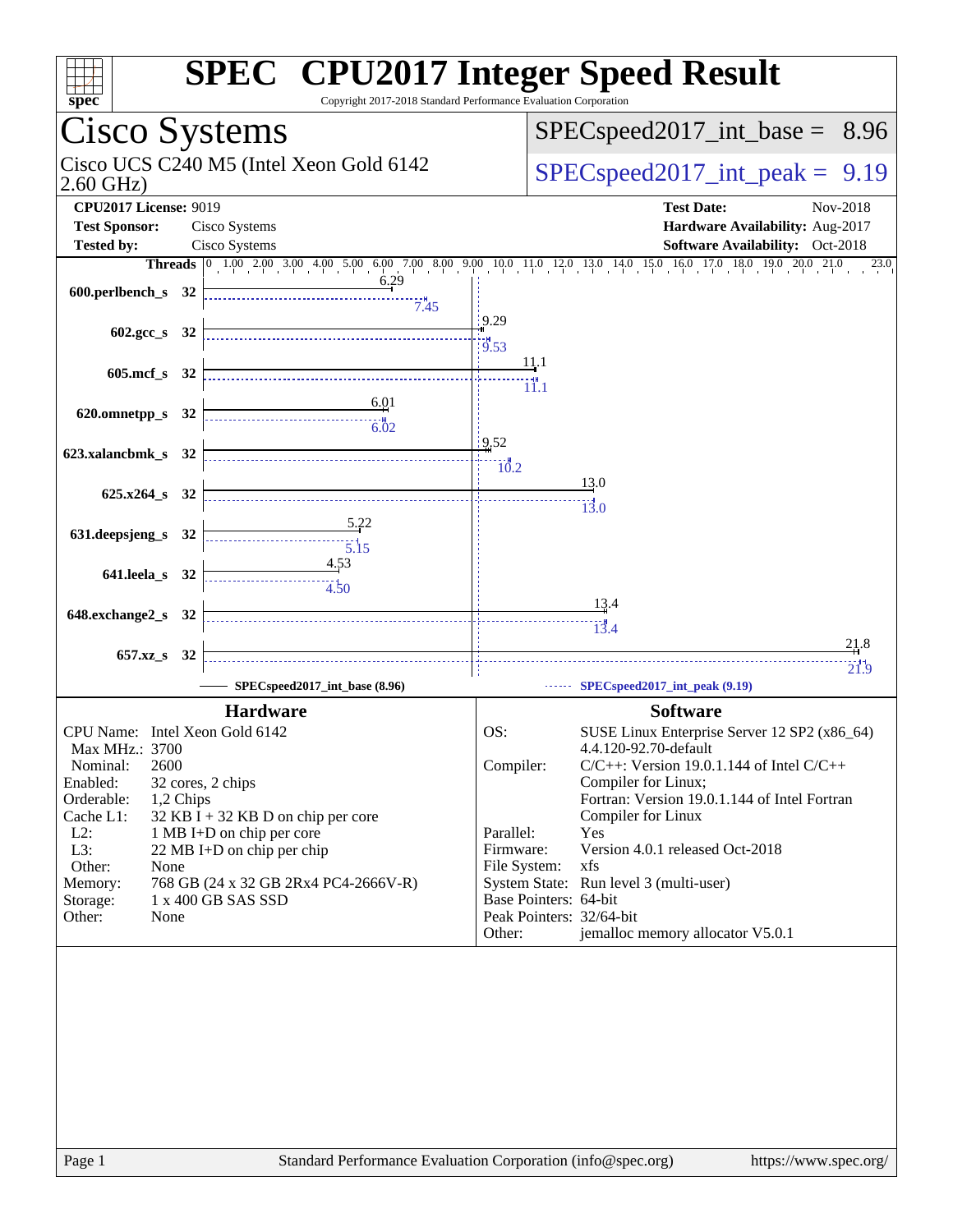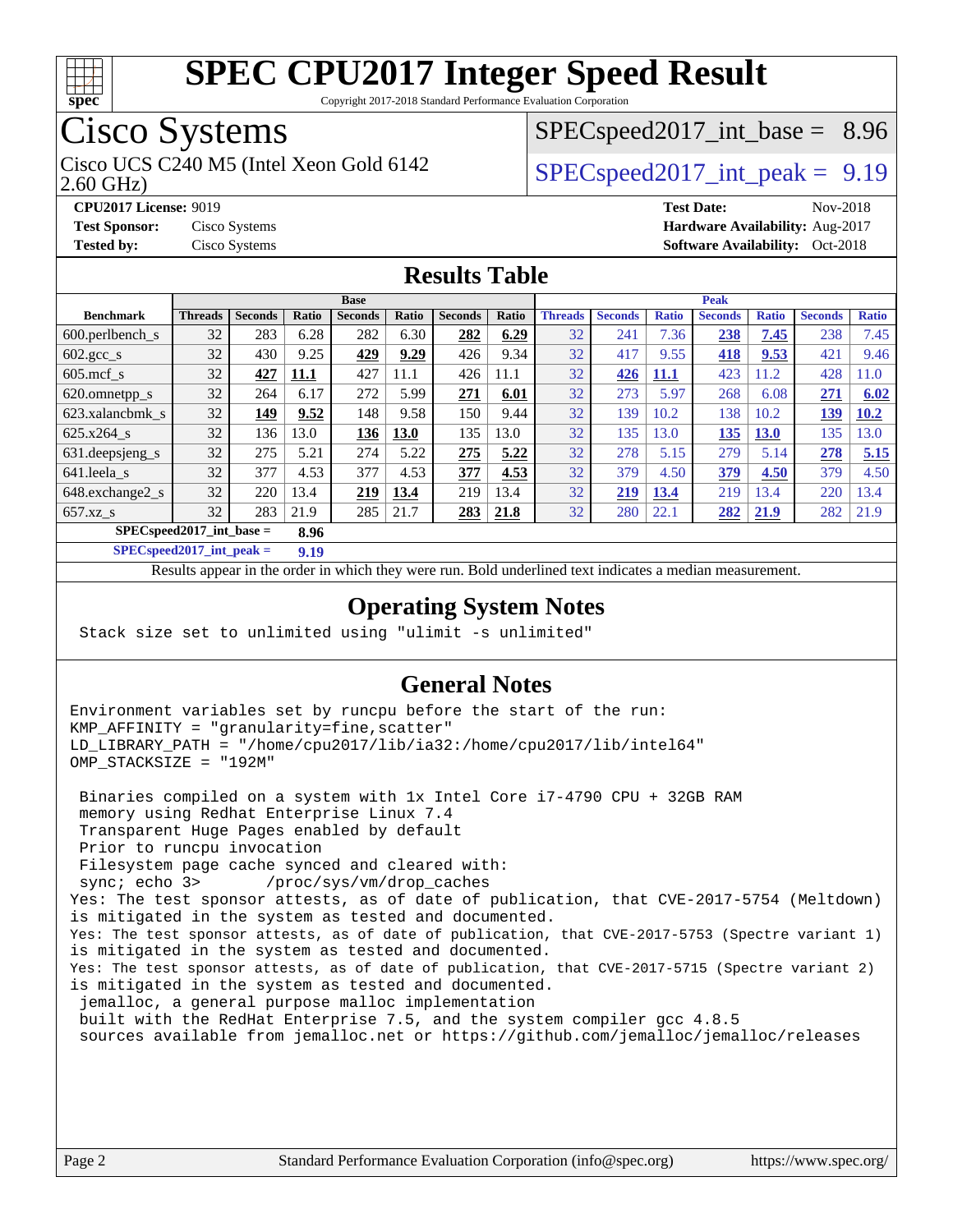

Copyright 2017-2018 Standard Performance Evaluation Corporation

# Cisco Systems

Cisco UCS C240 M5 (Intel Xeon Gold 6142  $\vert$  [SPECspeed2017\\_int\\_peak =](http://www.spec.org/auto/cpu2017/Docs/result-fields.html#SPECspeed2017intpeak) 9.19

 $SPECspeed2017\_int\_base = 8.96$ 

2.60 GHz)

**[CPU2017 License:](http://www.spec.org/auto/cpu2017/Docs/result-fields.html#CPU2017License)** 9019 **[Test Date:](http://www.spec.org/auto/cpu2017/Docs/result-fields.html#TestDate)** Nov-2018

**[Test Sponsor:](http://www.spec.org/auto/cpu2017/Docs/result-fields.html#TestSponsor)** Cisco Systems **[Hardware Availability:](http://www.spec.org/auto/cpu2017/Docs/result-fields.html#HardwareAvailability)** Aug-2017 **[Tested by:](http://www.spec.org/auto/cpu2017/Docs/result-fields.html#Testedby)** Cisco Systems **Cisco Systems [Software Availability:](http://www.spec.org/auto/cpu2017/Docs/result-fields.html#SoftwareAvailability)** Oct-2018

#### **[Results Table](http://www.spec.org/auto/cpu2017/Docs/result-fields.html#ResultsTable)**

|                            |                |                |       | <b>Base</b>    |             |                |       |                |                |              | <b>Peak</b>    |              |                |              |
|----------------------------|----------------|----------------|-------|----------------|-------------|----------------|-------|----------------|----------------|--------------|----------------|--------------|----------------|--------------|
| <b>Benchmark</b>           | <b>Threads</b> | <b>Seconds</b> | Ratio | <b>Seconds</b> | Ratio       | <b>Seconds</b> | Ratio | <b>Threads</b> | <b>Seconds</b> | <b>Ratio</b> | <b>Seconds</b> | <b>Ratio</b> | <b>Seconds</b> | <b>Ratio</b> |
| 600.perlbench s            | 32             | 283            | 6.28  | 282            | 6.30        | 282            | 6.29  | 32             | 241            | 7.36         | 238            | 7.45         | 238            | 7.45         |
| $602.\text{gcc}\_\text{s}$ | 32             | 430            | 9.25  | 429            | 9.29        | 426            | 9.34  | 32             | 417            | 9.55         | <b>418</b>     | 9.53         | 421            | 9.46         |
| $605$ .mcf s               | 32             | 427            | 11.1  | 427            | 11.1        | 426            | 11.1  | 32             | 426            | 11.1         | 423            | 11.2         | 428            | 11.0         |
| 620.omnetpp_s              | 32             | 264            | 6.17  | 272            | 5.99        | 271            | 6.01  | 32             | 273            | 5.97         | 268            | 6.08         | 271            | 6.02         |
| 623.xalancbmk s            | 32             | 149            | 9.52  | 148            | 9.58        | 150            | 9.44  | 32             | 139            | 10.2         | 138            | 10.2         | 139            | 10.2         |
| 625.x264 s                 | 32             | 136            | 13.0  | 136            | <b>13.0</b> | 135            | 13.0  | 32             | 135            | 13.0         | 135            | <b>13.0</b>  | 135            | 13.0         |
| 631.deepsjeng_s            | 32             | 275            | 5.21  | 274            | 5.22        | 275            | 5.22  | 32             | 278            | 5.15         | 279            | 5.14         | 278            | 5.15         |
| 641.leela s                | 32             | 377            | 4.53  | 377            | 4.53        | 377            | 4.53  | 32             | 379            | 4.50         | 379            | 4.50         | 379            | 4.50         |
| 648.exchange2 s            | 32             | 220            | 13.4  | 219            | 13.4        | 219            | 13.4  | 32             | 219            | 13.4         | 219            | 3.4          | 220            | 13.4         |
| $657.xz$ <sub>S</sub>      | 32             | 283            | 21.9  | 285            | 21.7        | 283            | 21.8  | 32             | 280            | 22.1         | 282            | 21.9         | 282            | 21.9         |
| $SPECspeed2017$ int base = |                |                | 8.96  |                |             |                |       |                |                |              |                |              |                |              |

**[SPECspeed2017\\_int\\_peak =](http://www.spec.org/auto/cpu2017/Docs/result-fields.html#SPECspeed2017intpeak) 9.19**

Results appear in the [order in which they were run.](http://www.spec.org/auto/cpu2017/Docs/result-fields.html#RunOrder) Bold underlined text [indicates a median measurement](http://www.spec.org/auto/cpu2017/Docs/result-fields.html#Median).

#### **[Operating System Notes](http://www.spec.org/auto/cpu2017/Docs/result-fields.html#OperatingSystemNotes)**

Stack size set to unlimited using "ulimit -s unlimited"

#### **[General Notes](http://www.spec.org/auto/cpu2017/Docs/result-fields.html#GeneralNotes)**

Environment variables set by runcpu before the start of the run: KMP\_AFFINITY = "granularity=fine,scatter" LD\_LIBRARY\_PATH = "/home/cpu2017/lib/ia32:/home/cpu2017/lib/intel64" OMP\_STACKSIZE = "192M"

 Binaries compiled on a system with 1x Intel Core i7-4790 CPU + 32GB RAM memory using Redhat Enterprise Linux 7.4 Transparent Huge Pages enabled by default Prior to runcpu invocation Filesystem page cache synced and cleared with: sync; echo 3> /proc/sys/vm/drop\_caches Yes: The test sponsor attests, as of date of publication, that CVE-2017-5754 (Meltdown) is mitigated in the system as tested and documented. Yes: The test sponsor attests, as of date of publication, that CVE-2017-5753 (Spectre variant 1) is mitigated in the system as tested and documented. Yes: The test sponsor attests, as of date of publication, that CVE-2017-5715 (Spectre variant 2) is mitigated in the system as tested and documented. jemalloc, a general purpose malloc implementation built with the RedHat Enterprise 7.5, and the system compiler gcc 4.8.5 sources available from jemalloc.net or<https://github.com/jemalloc/jemalloc/releases>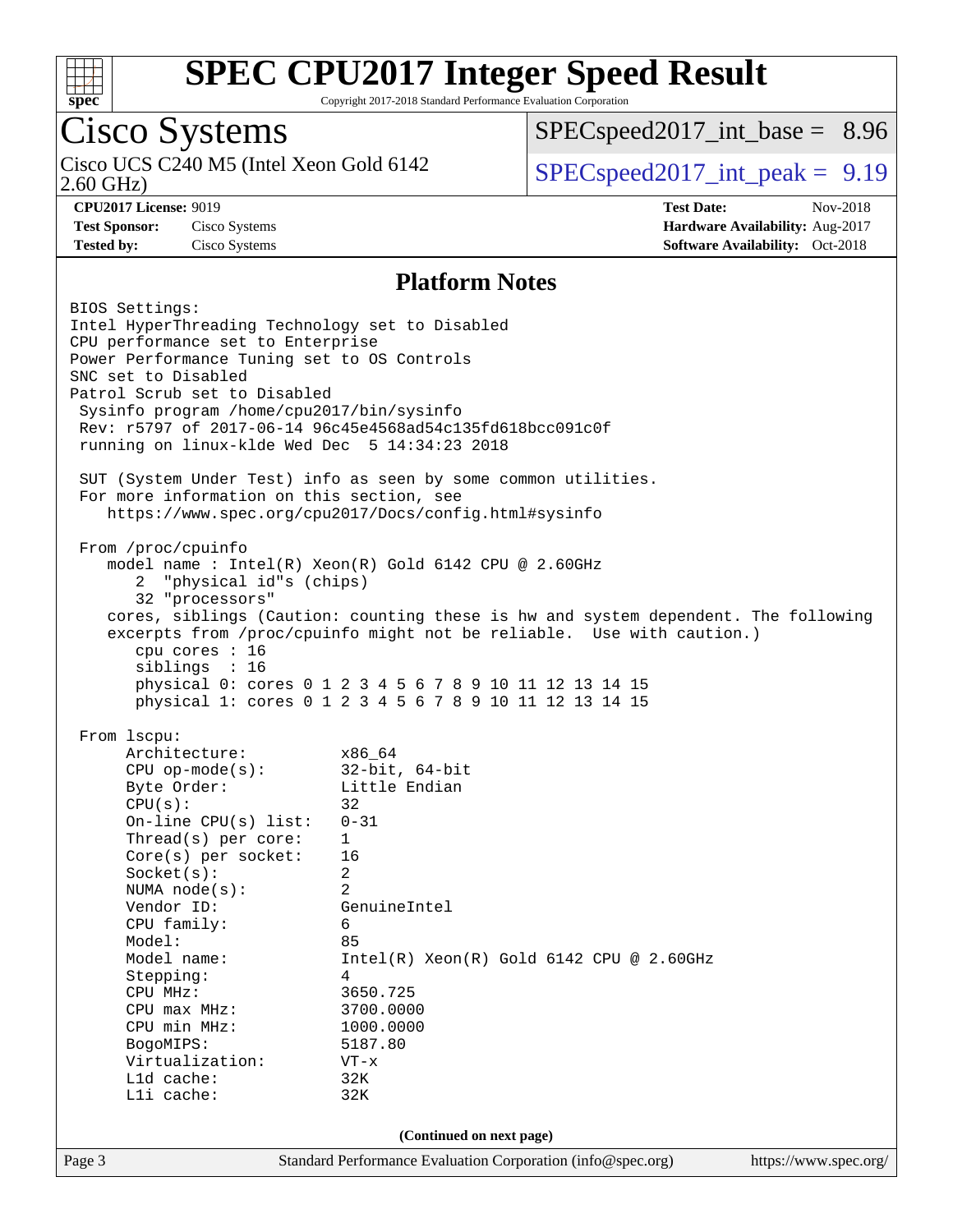

Copyright 2017-2018 Standard Performance Evaluation Corporation

# Cisco Systems

2.60 GHz) Cisco UCS C240 M5 (Intel Xeon Gold 6142  $\vert$  [SPECspeed2017\\_int\\_peak =](http://www.spec.org/auto/cpu2017/Docs/result-fields.html#SPECspeed2017intpeak) 9.19

 $SPECspeed2017\_int\_base = 8.96$ 

**[CPU2017 License:](http://www.spec.org/auto/cpu2017/Docs/result-fields.html#CPU2017License)** 9019 **[Test Date:](http://www.spec.org/auto/cpu2017/Docs/result-fields.html#TestDate)** Nov-2018 **[Test Sponsor:](http://www.spec.org/auto/cpu2017/Docs/result-fields.html#TestSponsor)** Cisco Systems **[Hardware Availability:](http://www.spec.org/auto/cpu2017/Docs/result-fields.html#HardwareAvailability)** Aug-2017 **[Tested by:](http://www.spec.org/auto/cpu2017/Docs/result-fields.html#Testedby)** Cisco Systems **[Software Availability:](http://www.spec.org/auto/cpu2017/Docs/result-fields.html#SoftwareAvailability)** Oct-2018

#### **[Platform Notes](http://www.spec.org/auto/cpu2017/Docs/result-fields.html#PlatformNotes)**

Page 3 Standard Performance Evaluation Corporation [\(info@spec.org\)](mailto:info@spec.org) <https://www.spec.org/> BIOS Settings: Intel HyperThreading Technology set to Disabled CPU performance set to Enterprise Power Performance Tuning set to OS Controls SNC set to Disabled Patrol Scrub set to Disabled Sysinfo program /home/cpu2017/bin/sysinfo Rev: r5797 of 2017-06-14 96c45e4568ad54c135fd618bcc091c0f running on linux-klde Wed Dec 5 14:34:23 2018 SUT (System Under Test) info as seen by some common utilities. For more information on this section, see <https://www.spec.org/cpu2017/Docs/config.html#sysinfo> From /proc/cpuinfo model name : Intel(R) Xeon(R) Gold 6142 CPU @ 2.60GHz 2 "physical id"s (chips) 32 "processors" cores, siblings (Caution: counting these is hw and system dependent. The following excerpts from /proc/cpuinfo might not be reliable. Use with caution.) cpu cores : 16 siblings : 16 physical 0: cores 0 1 2 3 4 5 6 7 8 9 10 11 12 13 14 15 physical 1: cores 0 1 2 3 4 5 6 7 8 9 10 11 12 13 14 15 From lscpu: Architecture: x86\_64 CPU op-mode(s): 32-bit, 64-bit Byte Order: Little Endian  $CPU(s):$  32 On-line CPU(s) list: 0-31 Thread(s) per core: 1 Core(s) per socket: 16 Socket(s): 2 NUMA node(s): 2 Vendor ID: GenuineIntel CPU family: 6 Model: 85 Model name: Intel(R) Xeon(R) Gold 6142 CPU @ 2.60GHz Stepping: 4 CPU MHz: 3650.725 CPU max MHz: 3700.0000<br>CPU min MHz: 1000.0000 CPU min MHz: 1000.0000 BogoMIPS: 5187.80 Virtualization: VT-x L1d cache: 32K L1i cache: 32K **(Continued on next page)**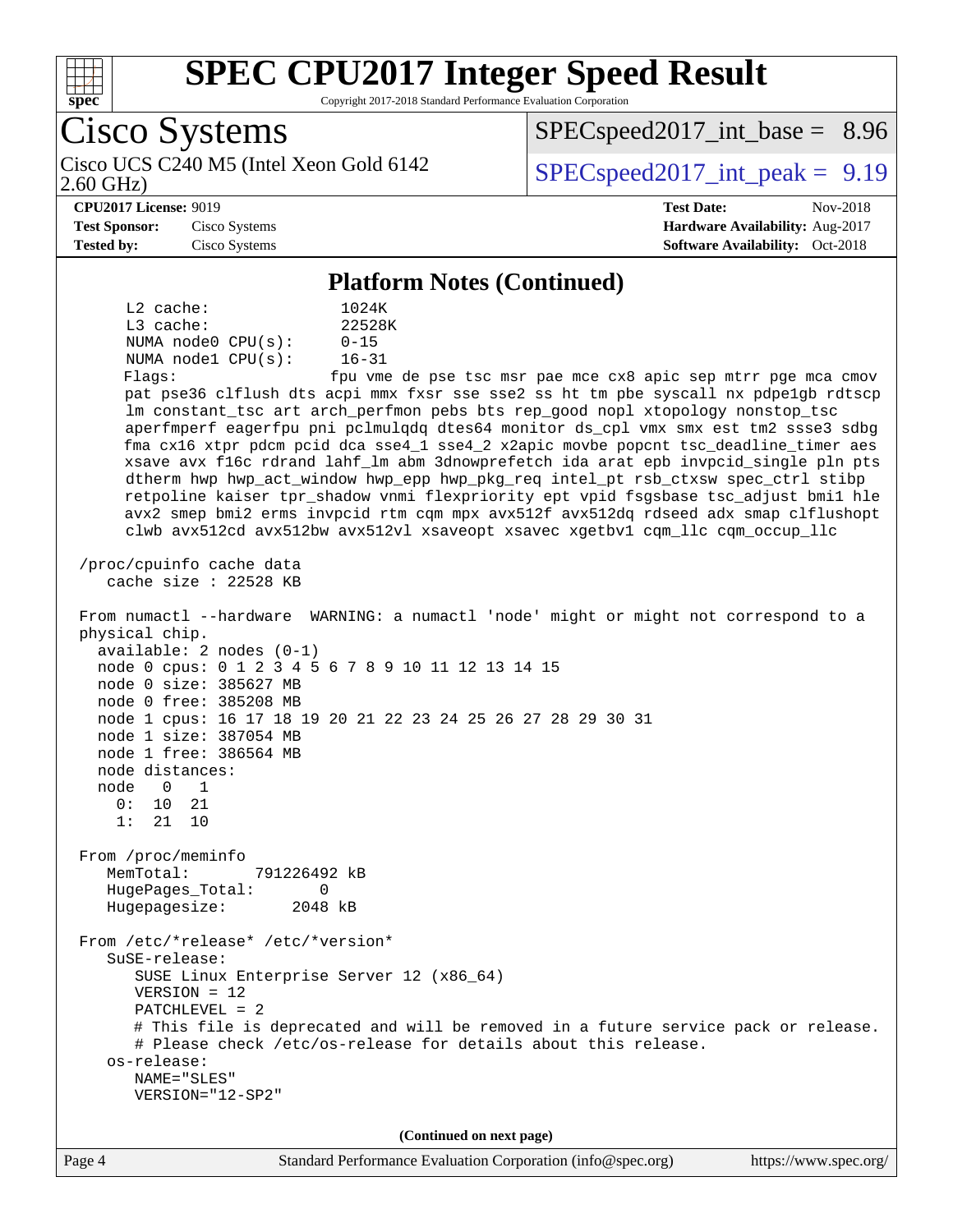

Copyright 2017-2018 Standard Performance Evaluation Corporation

Cisco Systems 2.60 GHz) Cisco UCS C240 M5 (Intel Xeon Gold 6142  $\vert$  [SPECspeed2017\\_int\\_peak =](http://www.spec.org/auto/cpu2017/Docs/result-fields.html#SPECspeed2017intpeak) 9.19  $SPECspeed2017\_int\_base = 8.96$ **[CPU2017 License:](http://www.spec.org/auto/cpu2017/Docs/result-fields.html#CPU2017License)** 9019 **[Test Date:](http://www.spec.org/auto/cpu2017/Docs/result-fields.html#TestDate)** Nov-2018 **[Test Sponsor:](http://www.spec.org/auto/cpu2017/Docs/result-fields.html#TestSponsor)** Cisco Systems **[Hardware Availability:](http://www.spec.org/auto/cpu2017/Docs/result-fields.html#HardwareAvailability)** Aug-2017 **[Tested by:](http://www.spec.org/auto/cpu2017/Docs/result-fields.html#Testedby)** Cisco Systems **[Software Availability:](http://www.spec.org/auto/cpu2017/Docs/result-fields.html#SoftwareAvailability)** Oct-2018 **[Platform Notes \(Continued\)](http://www.spec.org/auto/cpu2017/Docs/result-fields.html#PlatformNotes)** L2 cache: 1024K L3 cache: 22528K NUMA node0 CPU(s): 0-15 NUMA node1 CPU(s): 16-31 Flags: fpu vme de pse tsc msr pae mce cx8 apic sep mtrr pge mca cmov pat pse36 clflush dts acpi mmx fxsr sse sse2 ss ht tm pbe syscall nx pdpe1gb rdtscp lm constant\_tsc art arch\_perfmon pebs bts rep\_good nopl xtopology nonstop\_tsc aperfmperf eagerfpu pni pclmulqdq dtes64 monitor ds\_cpl vmx smx est tm2 ssse3 sdbg fma cx16 xtpr pdcm pcid dca sse4\_1 sse4\_2 x2apic movbe popcnt tsc\_deadline\_timer aes xsave avx f16c rdrand lahf\_lm abm 3dnowprefetch ida arat epb invpcid\_single pln pts dtherm hwp hwp\_act\_window hwp\_epp hwp\_pkg\_req intel\_pt rsb\_ctxsw spec\_ctrl stibp retpoline kaiser tpr\_shadow vnmi flexpriority ept vpid fsgsbase tsc\_adjust bmi1 hle avx2 smep bmi2 erms invpcid rtm cqm mpx avx512f avx512dq rdseed adx smap clflushopt clwb avx512cd avx512bw avx512vl xsaveopt xsavec xgetbv1 cqm\_llc cqm\_occup\_llc /proc/cpuinfo cache data cache size : 22528 KB From numactl --hardware WARNING: a numactl 'node' might or might not correspond to a physical chip. available: 2 nodes (0-1) node 0 cpus: 0 1 2 3 4 5 6 7 8 9 10 11 12 13 14 15 node 0 size: 385627 MB node 0 free: 385208 MB node 1 cpus: 16 17 18 19 20 21 22 23 24 25 26 27 28 29 30 31 node 1 size: 387054 MB node 1 free: 386564 MB node distances: node 0 1 0: 10 21 1: 21 10 From /proc/meminfo MemTotal: 791226492 kB HugePages\_Total: 0 Hugepagesize: 2048 kB From /etc/\*release\* /etc/\*version\* SuSE-release: SUSE Linux Enterprise Server 12 (x86\_64) VERSION = 12 PATCHLEVEL = 2 # This file is deprecated and will be removed in a future service pack or release. # Please check /etc/os-release for details about this release. os-release: NAME="SLES" VERSION="12-SP2" **(Continued on next page)**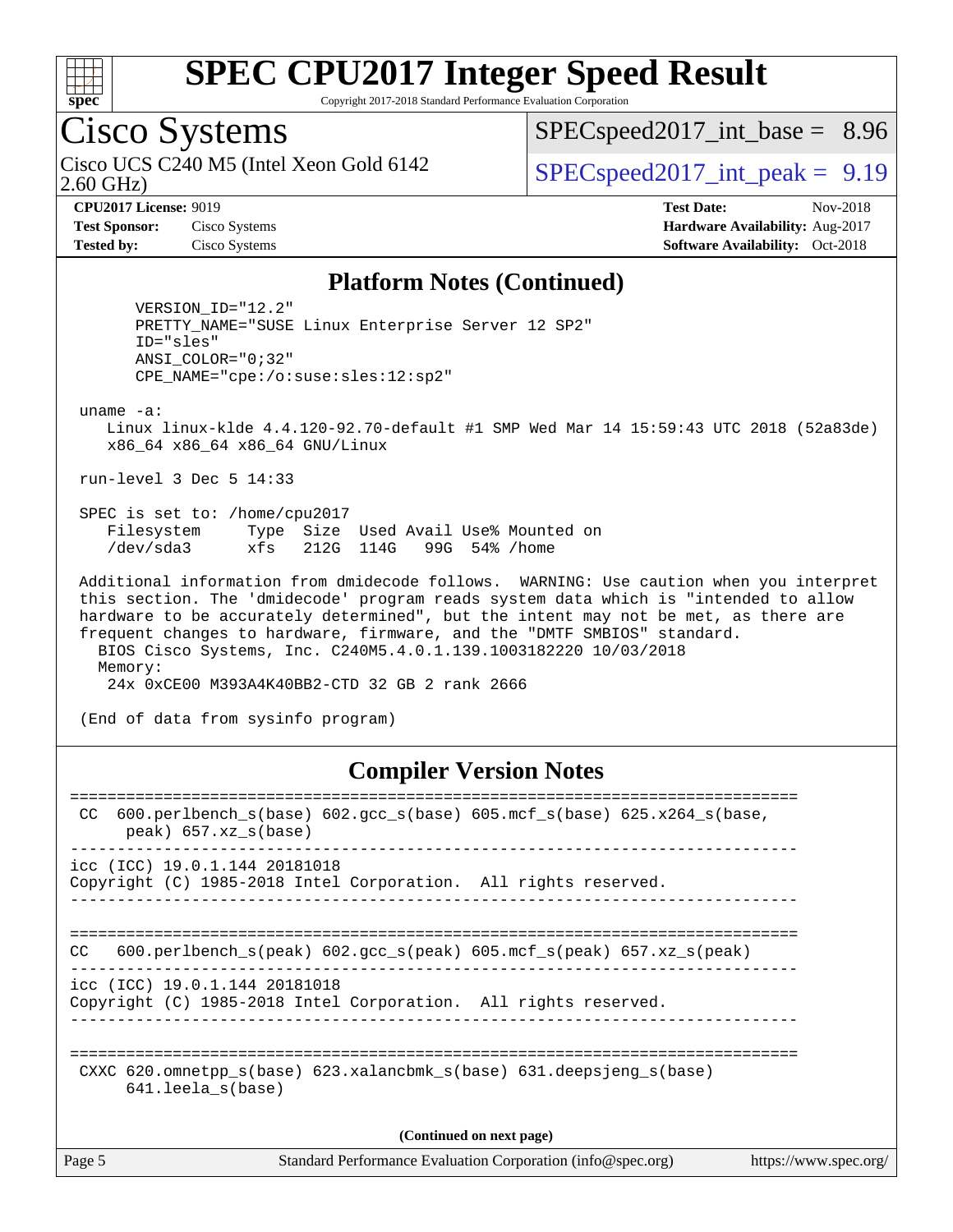

Copyright 2017-2018 Standard Performance Evaluation Corporation

## Cisco Systems

2.60 GHz) Cisco UCS C240 M5 (Intel Xeon Gold 6142  $\vert$  [SPECspeed2017\\_int\\_peak =](http://www.spec.org/auto/cpu2017/Docs/result-fields.html#SPECspeed2017intpeak) 9.19

 $SPECspeed2017\_int\_base = 8.96$ 

**[CPU2017 License:](http://www.spec.org/auto/cpu2017/Docs/result-fields.html#CPU2017License)** 9019 **[Test Date:](http://www.spec.org/auto/cpu2017/Docs/result-fields.html#TestDate)** Nov-2018 **[Test Sponsor:](http://www.spec.org/auto/cpu2017/Docs/result-fields.html#TestSponsor)** Cisco Systems **[Hardware Availability:](http://www.spec.org/auto/cpu2017/Docs/result-fields.html#HardwareAvailability)** Aug-2017 **[Tested by:](http://www.spec.org/auto/cpu2017/Docs/result-fields.html#Testedby)** Cisco Systems **[Software Availability:](http://www.spec.org/auto/cpu2017/Docs/result-fields.html#SoftwareAvailability)** Oct-2018

#### **[Platform Notes \(Continued\)](http://www.spec.org/auto/cpu2017/Docs/result-fields.html#PlatformNotes)**

 VERSION\_ID="12.2" PRETTY\_NAME="SUSE Linux Enterprise Server 12 SP2" ID="sles" ANSI\_COLOR="0;32" CPE\_NAME="cpe:/o:suse:sles:12:sp2"

uname -a:

 Linux linux-klde 4.4.120-92.70-default #1 SMP Wed Mar 14 15:59:43 UTC 2018 (52a83de) x86\_64 x86\_64 x86\_64 GNU/Linux

run-level 3 Dec 5 14:33

 SPEC is set to: /home/cpu2017 Filesystem Type Size Used Avail Use% Mounted on /dev/sda3 xfs 212G 114G 99G 54% /home

 Additional information from dmidecode follows. WARNING: Use caution when you interpret this section. The 'dmidecode' program reads system data which is "intended to allow hardware to be accurately determined", but the intent may not be met, as there are frequent changes to hardware, firmware, and the "DMTF SMBIOS" standard. BIOS Cisco Systems, Inc. C240M5.4.0.1.139.1003182220 10/03/2018 Memory: 24x 0xCE00 M393A4K40BB2-CTD 32 GB 2 rank 2666

(End of data from sysinfo program)

#### **[Compiler Version Notes](http://www.spec.org/auto/cpu2017/Docs/result-fields.html#CompilerVersionNotes)**

| 600.perlbench $s(base)$ 602.gcc $s(base)$ 605.mcf $s(base)$ 625.x264 $s(base)$ ,<br>CC.<br>$peak)$ 657.xz $s(base)$ |
|---------------------------------------------------------------------------------------------------------------------|
| icc (ICC) 19.0.1.144 20181018<br>Copyright (C) 1985-2018 Intel Corporation. All rights reserved.                    |
| 600.perlbench $s$ (peak) 602.gcc $s$ (peak) 605.mcf $s$ (peak) 657.xz $s$ (peak)<br>CC.                             |
| icc (ICC) 19.0.1.144 20181018<br>Copyright (C) 1985-2018 Intel Corporation. All rights reserved.                    |
| CXXC 620.omnetpp $s(base)$ 623.xalancbmk $s(base)$ 631.deepsjeng $s(base)$<br>$641.$ leela $s(base)$                |
| (Continued on next page)                                                                                            |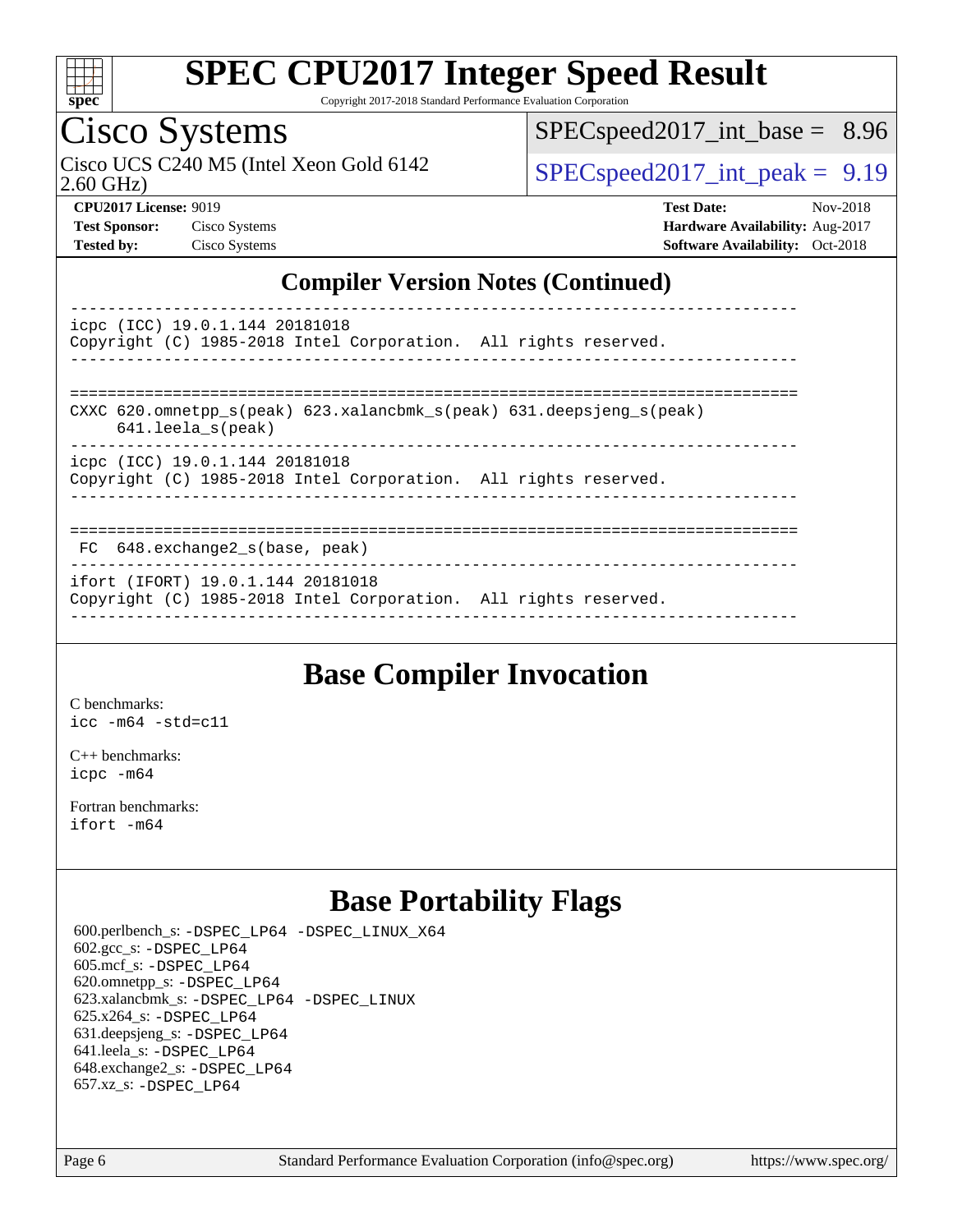

Copyright 2017-2018 Standard Performance Evaluation Corporation

## Cisco Systems

2.60 GHz) Cisco UCS C240 M5 (Intel Xeon Gold 6142  $\vert$  [SPECspeed2017\\_int\\_peak =](http://www.spec.org/auto/cpu2017/Docs/result-fields.html#SPECspeed2017intpeak) 9.19

 $SPECspeed2017\_int\_base = 8.96$ 

**[CPU2017 License:](http://www.spec.org/auto/cpu2017/Docs/result-fields.html#CPU2017License)** 9019 **[Test Date:](http://www.spec.org/auto/cpu2017/Docs/result-fields.html#TestDate)** Nov-2018 **[Test Sponsor:](http://www.spec.org/auto/cpu2017/Docs/result-fields.html#TestSponsor)** Cisco Systems **[Hardware Availability:](http://www.spec.org/auto/cpu2017/Docs/result-fields.html#HardwareAvailability)** Aug-2017 **[Tested by:](http://www.spec.org/auto/cpu2017/Docs/result-fields.html#Testedby)** Cisco Systems **[Software Availability:](http://www.spec.org/auto/cpu2017/Docs/result-fields.html#SoftwareAvailability)** Oct-2018

#### **[Compiler Version Notes \(Continued\)](http://www.spec.org/auto/cpu2017/Docs/result-fields.html#CompilerVersionNotes)**

----------------------------------------------------------------------------- icpc (ICC) 19.0.1.144 20181018 Copyright (C) 1985-2018 Intel Corporation. All rights reserved. ------------------------------------------------------------------------------ ============================================================================== CXXC 620.omnetpp  $s(\text{peak})$  623.xalancbmk  $s(\text{peak})$  631.deepsjeng  $s(\text{peak})$  641.leela\_s(peak) ----------------------------------------------------------------------------- icpc (ICC) 19.0.1.144 20181018 Copyright (C) 1985-2018 Intel Corporation. All rights reserved. ------------------------------------------------------------------------------

#### ==============================================================================

 FC 648.exchange2\_s(base, peak) ------------------------------------------------------------------------------

ifort (IFORT) 19.0.1.144 20181018

Copyright (C) 1985-2018 Intel Corporation. All rights reserved. ------------------------------------------------------------------------------

### **[Base Compiler Invocation](http://www.spec.org/auto/cpu2017/Docs/result-fields.html#BaseCompilerInvocation)**

[C benchmarks](http://www.spec.org/auto/cpu2017/Docs/result-fields.html#Cbenchmarks): [icc -m64 -std=c11](http://www.spec.org/cpu2017/results/res2018q4/cpu2017-20181211-10252.flags.html#user_CCbase_intel_icc_64bit_c11_33ee0cdaae7deeeab2a9725423ba97205ce30f63b9926c2519791662299b76a0318f32ddfffdc46587804de3178b4f9328c46fa7c2b0cd779d7a61945c91cd35)

[C++ benchmarks:](http://www.spec.org/auto/cpu2017/Docs/result-fields.html#CXXbenchmarks) [icpc -m64](http://www.spec.org/cpu2017/results/res2018q4/cpu2017-20181211-10252.flags.html#user_CXXbase_intel_icpc_64bit_4ecb2543ae3f1412ef961e0650ca070fec7b7afdcd6ed48761b84423119d1bf6bdf5cad15b44d48e7256388bc77273b966e5eb805aefd121eb22e9299b2ec9d9)

[Fortran benchmarks](http://www.spec.org/auto/cpu2017/Docs/result-fields.html#Fortranbenchmarks): [ifort -m64](http://www.spec.org/cpu2017/results/res2018q4/cpu2017-20181211-10252.flags.html#user_FCbase_intel_ifort_64bit_24f2bb282fbaeffd6157abe4f878425411749daecae9a33200eee2bee2fe76f3b89351d69a8130dd5949958ce389cf37ff59a95e7a40d588e8d3a57e0c3fd751)

## **[Base Portability Flags](http://www.spec.org/auto/cpu2017/Docs/result-fields.html#BasePortabilityFlags)**

 600.perlbench\_s: [-DSPEC\\_LP64](http://www.spec.org/cpu2017/results/res2018q4/cpu2017-20181211-10252.flags.html#b600.perlbench_s_basePORTABILITY_DSPEC_LP64) [-DSPEC\\_LINUX\\_X64](http://www.spec.org/cpu2017/results/res2018q4/cpu2017-20181211-10252.flags.html#b600.perlbench_s_baseCPORTABILITY_DSPEC_LINUX_X64) 602.gcc\_s: [-DSPEC\\_LP64](http://www.spec.org/cpu2017/results/res2018q4/cpu2017-20181211-10252.flags.html#suite_basePORTABILITY602_gcc_s_DSPEC_LP64) 605.mcf\_s: [-DSPEC\\_LP64](http://www.spec.org/cpu2017/results/res2018q4/cpu2017-20181211-10252.flags.html#suite_basePORTABILITY605_mcf_s_DSPEC_LP64) 620.omnetpp\_s: [-DSPEC\\_LP64](http://www.spec.org/cpu2017/results/res2018q4/cpu2017-20181211-10252.flags.html#suite_basePORTABILITY620_omnetpp_s_DSPEC_LP64) 623.xalancbmk\_s: [-DSPEC\\_LP64](http://www.spec.org/cpu2017/results/res2018q4/cpu2017-20181211-10252.flags.html#suite_basePORTABILITY623_xalancbmk_s_DSPEC_LP64) [-DSPEC\\_LINUX](http://www.spec.org/cpu2017/results/res2018q4/cpu2017-20181211-10252.flags.html#b623.xalancbmk_s_baseCXXPORTABILITY_DSPEC_LINUX) 625.x264\_s: [-DSPEC\\_LP64](http://www.spec.org/cpu2017/results/res2018q4/cpu2017-20181211-10252.flags.html#suite_basePORTABILITY625_x264_s_DSPEC_LP64) 631.deepsjeng\_s: [-DSPEC\\_LP64](http://www.spec.org/cpu2017/results/res2018q4/cpu2017-20181211-10252.flags.html#suite_basePORTABILITY631_deepsjeng_s_DSPEC_LP64) 641.leela\_s: [-DSPEC\\_LP64](http://www.spec.org/cpu2017/results/res2018q4/cpu2017-20181211-10252.flags.html#suite_basePORTABILITY641_leela_s_DSPEC_LP64) 648.exchange2\_s: [-DSPEC\\_LP64](http://www.spec.org/cpu2017/results/res2018q4/cpu2017-20181211-10252.flags.html#suite_basePORTABILITY648_exchange2_s_DSPEC_LP64) 657.xz\_s: [-DSPEC\\_LP64](http://www.spec.org/cpu2017/results/res2018q4/cpu2017-20181211-10252.flags.html#suite_basePORTABILITY657_xz_s_DSPEC_LP64)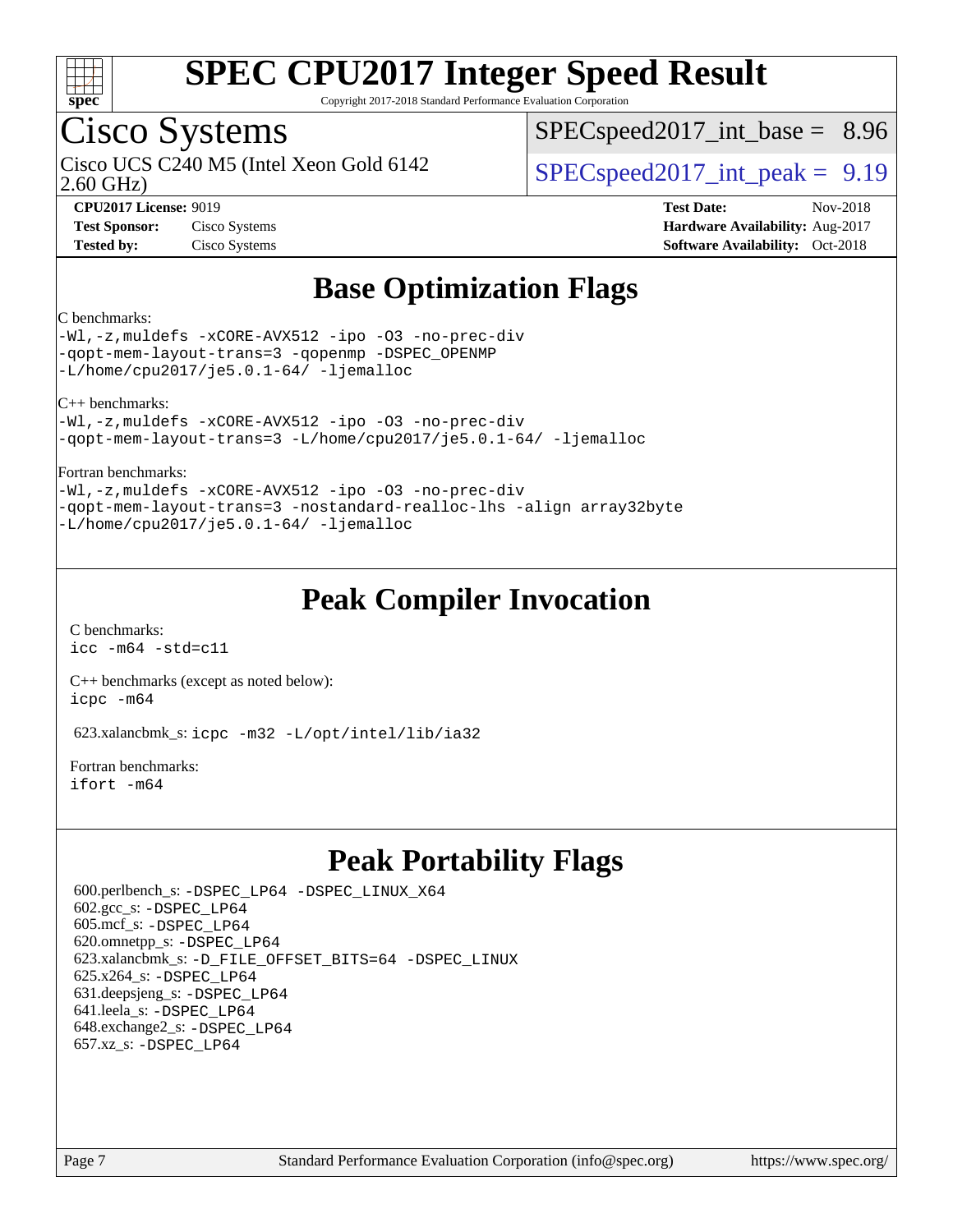

Copyright 2017-2018 Standard Performance Evaluation Corporation

## Cisco Systems

2.60 GHz) Cisco UCS C240 M5 (Intel Xeon Gold 6142  $\vert$  [SPECspeed2017\\_int\\_peak =](http://www.spec.org/auto/cpu2017/Docs/result-fields.html#SPECspeed2017intpeak) 9.19

 $SPECspeed2017\_int\_base = 8.96$ 

**[CPU2017 License:](http://www.spec.org/auto/cpu2017/Docs/result-fields.html#CPU2017License)** 9019 **[Test Date:](http://www.spec.org/auto/cpu2017/Docs/result-fields.html#TestDate)** Nov-2018 **[Test Sponsor:](http://www.spec.org/auto/cpu2017/Docs/result-fields.html#TestSponsor)** Cisco Systems **[Hardware Availability:](http://www.spec.org/auto/cpu2017/Docs/result-fields.html#HardwareAvailability)** Aug-2017 **[Tested by:](http://www.spec.org/auto/cpu2017/Docs/result-fields.html#Testedby)** Cisco Systems **[Software Availability:](http://www.spec.org/auto/cpu2017/Docs/result-fields.html#SoftwareAvailability)** Oct-2018

## **[Base Optimization Flags](http://www.spec.org/auto/cpu2017/Docs/result-fields.html#BaseOptimizationFlags)**

#### [C benchmarks:](http://www.spec.org/auto/cpu2017/Docs/result-fields.html#Cbenchmarks)

[-Wl,-z,muldefs](http://www.spec.org/cpu2017/results/res2018q4/cpu2017-20181211-10252.flags.html#user_CCbase_link_force_multiple1_b4cbdb97b34bdee9ceefcfe54f4c8ea74255f0b02a4b23e853cdb0e18eb4525ac79b5a88067c842dd0ee6996c24547a27a4b99331201badda8798ef8a743f577) [-xCORE-AVX512](http://www.spec.org/cpu2017/results/res2018q4/cpu2017-20181211-10252.flags.html#user_CCbase_f-xCORE-AVX512) [-ipo](http://www.spec.org/cpu2017/results/res2018q4/cpu2017-20181211-10252.flags.html#user_CCbase_f-ipo) [-O3](http://www.spec.org/cpu2017/results/res2018q4/cpu2017-20181211-10252.flags.html#user_CCbase_f-O3) [-no-prec-div](http://www.spec.org/cpu2017/results/res2018q4/cpu2017-20181211-10252.flags.html#user_CCbase_f-no-prec-div) [-qopt-mem-layout-trans=3](http://www.spec.org/cpu2017/results/res2018q4/cpu2017-20181211-10252.flags.html#user_CCbase_f-qopt-mem-layout-trans_de80db37974c74b1f0e20d883f0b675c88c3b01e9d123adea9b28688d64333345fb62bc4a798493513fdb68f60282f9a726aa07f478b2f7113531aecce732043) [-qopenmp](http://www.spec.org/cpu2017/results/res2018q4/cpu2017-20181211-10252.flags.html#user_CCbase_qopenmp_16be0c44f24f464004c6784a7acb94aca937f053568ce72f94b139a11c7c168634a55f6653758ddd83bcf7b8463e8028bb0b48b77bcddc6b78d5d95bb1df2967) [-DSPEC\\_OPENMP](http://www.spec.org/cpu2017/results/res2018q4/cpu2017-20181211-10252.flags.html#suite_CCbase_DSPEC_OPENMP) [-L/home/cpu2017/je5.0.1-64/](http://www.spec.org/cpu2017/results/res2018q4/cpu2017-20181211-10252.flags.html#user_CCbase_jemalloc_link_path64_8e927a5f1bdac0405e66c637541874330e08086b5e62a1d024bcf3497e3c64fd173c8afb7d1730d51f6da781ef4c439bdab468bb8364cf71435e0c609fac500c) [-ljemalloc](http://www.spec.org/cpu2017/results/res2018q4/cpu2017-20181211-10252.flags.html#user_CCbase_jemalloc_link_lib_d1249b907c500fa1c0672f44f562e3d0f79738ae9e3c4a9c376d49f265a04b9c99b167ecedbf6711b3085be911c67ff61f150a17b3472be731631ba4d0471706)

[C++ benchmarks:](http://www.spec.org/auto/cpu2017/Docs/result-fields.html#CXXbenchmarks)

[-Wl,-z,muldefs](http://www.spec.org/cpu2017/results/res2018q4/cpu2017-20181211-10252.flags.html#user_CXXbase_link_force_multiple1_b4cbdb97b34bdee9ceefcfe54f4c8ea74255f0b02a4b23e853cdb0e18eb4525ac79b5a88067c842dd0ee6996c24547a27a4b99331201badda8798ef8a743f577) [-xCORE-AVX512](http://www.spec.org/cpu2017/results/res2018q4/cpu2017-20181211-10252.flags.html#user_CXXbase_f-xCORE-AVX512) [-ipo](http://www.spec.org/cpu2017/results/res2018q4/cpu2017-20181211-10252.flags.html#user_CXXbase_f-ipo) [-O3](http://www.spec.org/cpu2017/results/res2018q4/cpu2017-20181211-10252.flags.html#user_CXXbase_f-O3) [-no-prec-div](http://www.spec.org/cpu2017/results/res2018q4/cpu2017-20181211-10252.flags.html#user_CXXbase_f-no-prec-div) [-qopt-mem-layout-trans=3](http://www.spec.org/cpu2017/results/res2018q4/cpu2017-20181211-10252.flags.html#user_CXXbase_f-qopt-mem-layout-trans_de80db37974c74b1f0e20d883f0b675c88c3b01e9d123adea9b28688d64333345fb62bc4a798493513fdb68f60282f9a726aa07f478b2f7113531aecce732043) [-L/home/cpu2017/je5.0.1-64/](http://www.spec.org/cpu2017/results/res2018q4/cpu2017-20181211-10252.flags.html#user_CXXbase_jemalloc_link_path64_8e927a5f1bdac0405e66c637541874330e08086b5e62a1d024bcf3497e3c64fd173c8afb7d1730d51f6da781ef4c439bdab468bb8364cf71435e0c609fac500c) [-ljemalloc](http://www.spec.org/cpu2017/results/res2018q4/cpu2017-20181211-10252.flags.html#user_CXXbase_jemalloc_link_lib_d1249b907c500fa1c0672f44f562e3d0f79738ae9e3c4a9c376d49f265a04b9c99b167ecedbf6711b3085be911c67ff61f150a17b3472be731631ba4d0471706)

#### [Fortran benchmarks](http://www.spec.org/auto/cpu2017/Docs/result-fields.html#Fortranbenchmarks):

[-Wl,-z,muldefs](http://www.spec.org/cpu2017/results/res2018q4/cpu2017-20181211-10252.flags.html#user_FCbase_link_force_multiple1_b4cbdb97b34bdee9ceefcfe54f4c8ea74255f0b02a4b23e853cdb0e18eb4525ac79b5a88067c842dd0ee6996c24547a27a4b99331201badda8798ef8a743f577) [-xCORE-AVX512](http://www.spec.org/cpu2017/results/res2018q4/cpu2017-20181211-10252.flags.html#user_FCbase_f-xCORE-AVX512) [-ipo](http://www.spec.org/cpu2017/results/res2018q4/cpu2017-20181211-10252.flags.html#user_FCbase_f-ipo) [-O3](http://www.spec.org/cpu2017/results/res2018q4/cpu2017-20181211-10252.flags.html#user_FCbase_f-O3) [-no-prec-div](http://www.spec.org/cpu2017/results/res2018q4/cpu2017-20181211-10252.flags.html#user_FCbase_f-no-prec-div) [-qopt-mem-layout-trans=3](http://www.spec.org/cpu2017/results/res2018q4/cpu2017-20181211-10252.flags.html#user_FCbase_f-qopt-mem-layout-trans_de80db37974c74b1f0e20d883f0b675c88c3b01e9d123adea9b28688d64333345fb62bc4a798493513fdb68f60282f9a726aa07f478b2f7113531aecce732043) [-nostandard-realloc-lhs](http://www.spec.org/cpu2017/results/res2018q4/cpu2017-20181211-10252.flags.html#user_FCbase_f_2003_std_realloc_82b4557e90729c0f113870c07e44d33d6f5a304b4f63d4c15d2d0f1fab99f5daaed73bdb9275d9ae411527f28b936061aa8b9c8f2d63842963b95c9dd6426b8a) [-align array32byte](http://www.spec.org/cpu2017/results/res2018q4/cpu2017-20181211-10252.flags.html#user_FCbase_align_array32byte_b982fe038af199962ba9a80c053b8342c548c85b40b8e86eb3cc33dee0d7986a4af373ac2d51c3f7cf710a18d62fdce2948f201cd044323541f22fc0fffc51b6) [-L/home/cpu2017/je5.0.1-64/](http://www.spec.org/cpu2017/results/res2018q4/cpu2017-20181211-10252.flags.html#user_FCbase_jemalloc_link_path64_8e927a5f1bdac0405e66c637541874330e08086b5e62a1d024bcf3497e3c64fd173c8afb7d1730d51f6da781ef4c439bdab468bb8364cf71435e0c609fac500c) [-ljemalloc](http://www.spec.org/cpu2017/results/res2018q4/cpu2017-20181211-10252.flags.html#user_FCbase_jemalloc_link_lib_d1249b907c500fa1c0672f44f562e3d0f79738ae9e3c4a9c376d49f265a04b9c99b167ecedbf6711b3085be911c67ff61f150a17b3472be731631ba4d0471706)

### **[Peak Compiler Invocation](http://www.spec.org/auto/cpu2017/Docs/result-fields.html#PeakCompilerInvocation)**

[C benchmarks](http://www.spec.org/auto/cpu2017/Docs/result-fields.html#Cbenchmarks): [icc -m64 -std=c11](http://www.spec.org/cpu2017/results/res2018q4/cpu2017-20181211-10252.flags.html#user_CCpeak_intel_icc_64bit_c11_33ee0cdaae7deeeab2a9725423ba97205ce30f63b9926c2519791662299b76a0318f32ddfffdc46587804de3178b4f9328c46fa7c2b0cd779d7a61945c91cd35)

[C++ benchmarks \(except as noted below\):](http://www.spec.org/auto/cpu2017/Docs/result-fields.html#CXXbenchmarksexceptasnotedbelow) [icpc -m64](http://www.spec.org/cpu2017/results/res2018q4/cpu2017-20181211-10252.flags.html#user_CXXpeak_intel_icpc_64bit_4ecb2543ae3f1412ef961e0650ca070fec7b7afdcd6ed48761b84423119d1bf6bdf5cad15b44d48e7256388bc77273b966e5eb805aefd121eb22e9299b2ec9d9)

623.xalancbmk\_s: [icpc -m32 -L/opt/intel/lib/ia32](http://www.spec.org/cpu2017/results/res2018q4/cpu2017-20181211-10252.flags.html#user_peakCXXLD623_xalancbmk_s_intel_icpc_44eae83c1f565e7e266431f067370024ba26559400a3332485578bf716e23841c734f948145e944e2f4b6f3ce32c2c966ea92b66ca79c6f94f301242c0f554cf)

[Fortran benchmarks](http://www.spec.org/auto/cpu2017/Docs/result-fields.html#Fortranbenchmarks): [ifort -m64](http://www.spec.org/cpu2017/results/res2018q4/cpu2017-20181211-10252.flags.html#user_FCpeak_intel_ifort_64bit_24f2bb282fbaeffd6157abe4f878425411749daecae9a33200eee2bee2fe76f3b89351d69a8130dd5949958ce389cf37ff59a95e7a40d588e8d3a57e0c3fd751)

## **[Peak Portability Flags](http://www.spec.org/auto/cpu2017/Docs/result-fields.html#PeakPortabilityFlags)**

 600.perlbench\_s: [-DSPEC\\_LP64](http://www.spec.org/cpu2017/results/res2018q4/cpu2017-20181211-10252.flags.html#b600.perlbench_s_peakPORTABILITY_DSPEC_LP64) [-DSPEC\\_LINUX\\_X64](http://www.spec.org/cpu2017/results/res2018q4/cpu2017-20181211-10252.flags.html#b600.perlbench_s_peakCPORTABILITY_DSPEC_LINUX_X64) 602.gcc\_s: [-DSPEC\\_LP64](http://www.spec.org/cpu2017/results/res2018q4/cpu2017-20181211-10252.flags.html#suite_peakPORTABILITY602_gcc_s_DSPEC_LP64) 605.mcf\_s: [-DSPEC\\_LP64](http://www.spec.org/cpu2017/results/res2018q4/cpu2017-20181211-10252.flags.html#suite_peakPORTABILITY605_mcf_s_DSPEC_LP64) 620.omnetpp\_s: [-DSPEC\\_LP64](http://www.spec.org/cpu2017/results/res2018q4/cpu2017-20181211-10252.flags.html#suite_peakPORTABILITY620_omnetpp_s_DSPEC_LP64) 623.xalancbmk\_s: [-D\\_FILE\\_OFFSET\\_BITS=64](http://www.spec.org/cpu2017/results/res2018q4/cpu2017-20181211-10252.flags.html#user_peakPORTABILITY623_xalancbmk_s_file_offset_bits_64_5ae949a99b284ddf4e95728d47cb0843d81b2eb0e18bdfe74bbf0f61d0b064f4bda2f10ea5eb90e1dcab0e84dbc592acfc5018bc955c18609f94ddb8d550002c) [-DSPEC\\_LINUX](http://www.spec.org/cpu2017/results/res2018q4/cpu2017-20181211-10252.flags.html#b623.xalancbmk_s_peakCXXPORTABILITY_DSPEC_LINUX) 625.x264\_s: [-DSPEC\\_LP64](http://www.spec.org/cpu2017/results/res2018q4/cpu2017-20181211-10252.flags.html#suite_peakPORTABILITY625_x264_s_DSPEC_LP64) 631.deepsjeng\_s: [-DSPEC\\_LP64](http://www.spec.org/cpu2017/results/res2018q4/cpu2017-20181211-10252.flags.html#suite_peakPORTABILITY631_deepsjeng_s_DSPEC_LP64) 641.leela\_s: [-DSPEC\\_LP64](http://www.spec.org/cpu2017/results/res2018q4/cpu2017-20181211-10252.flags.html#suite_peakPORTABILITY641_leela_s_DSPEC_LP64) 648.exchange2\_s: [-DSPEC\\_LP64](http://www.spec.org/cpu2017/results/res2018q4/cpu2017-20181211-10252.flags.html#suite_peakPORTABILITY648_exchange2_s_DSPEC_LP64) 657.xz\_s: [-DSPEC\\_LP64](http://www.spec.org/cpu2017/results/res2018q4/cpu2017-20181211-10252.flags.html#suite_peakPORTABILITY657_xz_s_DSPEC_LP64)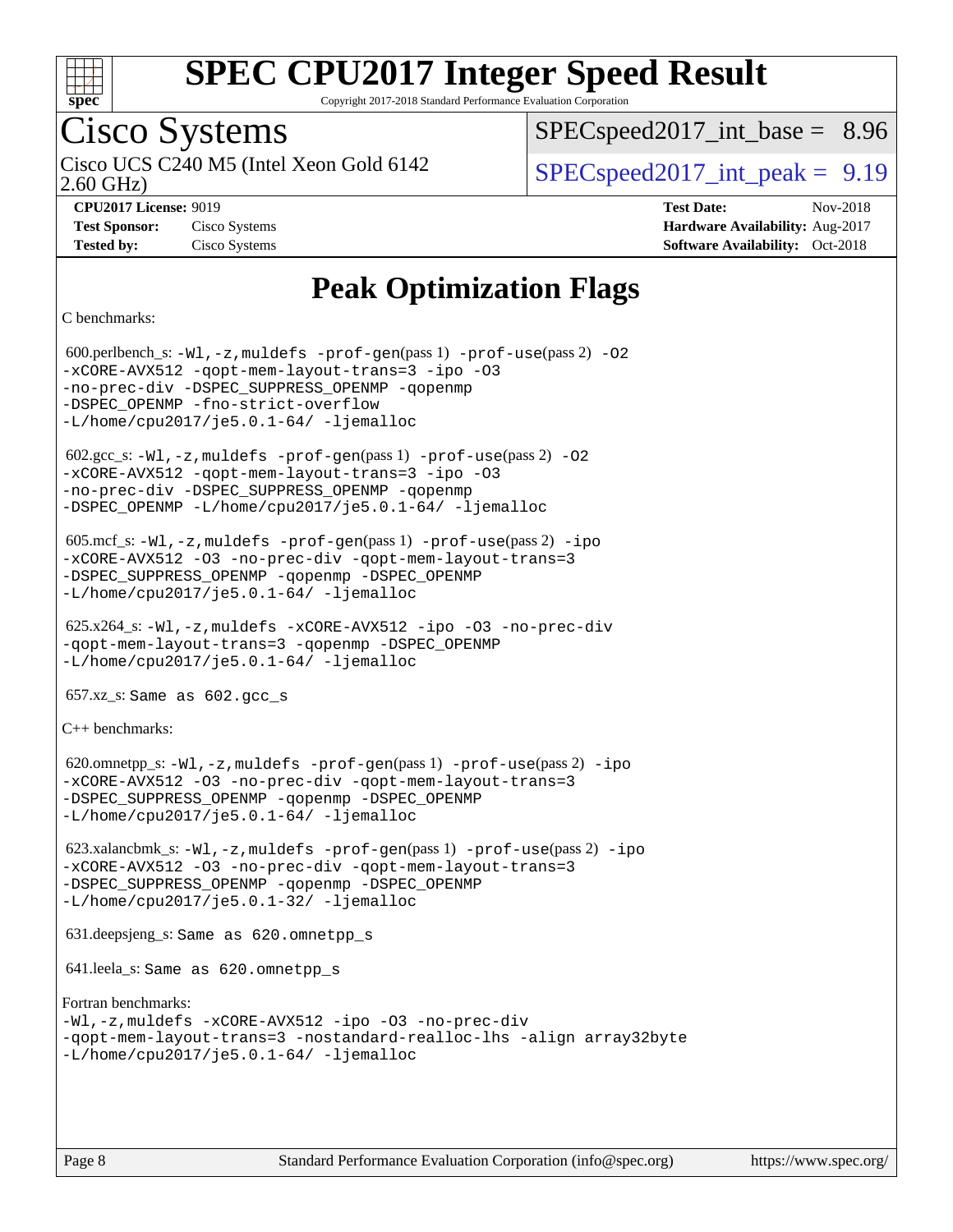

Copyright 2017-2018 Standard Performance Evaluation Corporation

# Cisco Systems

2.60 GHz) Cisco UCS C240 M5 (Intel Xeon Gold 6142  $\vert$  [SPECspeed2017\\_int\\_peak =](http://www.spec.org/auto/cpu2017/Docs/result-fields.html#SPECspeed2017intpeak) 9.19

 $SPECspeed2017\_int\_base = 8.96$ 

**[Tested by:](http://www.spec.org/auto/cpu2017/Docs/result-fields.html#Testedby)** Cisco Systems **[Software Availability:](http://www.spec.org/auto/cpu2017/Docs/result-fields.html#SoftwareAvailability)** Oct-2018

**[CPU2017 License:](http://www.spec.org/auto/cpu2017/Docs/result-fields.html#CPU2017License)** 9019 **[Test Date:](http://www.spec.org/auto/cpu2017/Docs/result-fields.html#TestDate)** Nov-2018 **[Test Sponsor:](http://www.spec.org/auto/cpu2017/Docs/result-fields.html#TestSponsor)** Cisco Systems **[Hardware Availability:](http://www.spec.org/auto/cpu2017/Docs/result-fields.html#HardwareAvailability)** Aug-2017

## **[Peak Optimization Flags](http://www.spec.org/auto/cpu2017/Docs/result-fields.html#PeakOptimizationFlags)**

[C benchmarks](http://www.spec.org/auto/cpu2017/Docs/result-fields.html#Cbenchmarks):

 600.perlbench\_s: [-Wl,-z,muldefs](http://www.spec.org/cpu2017/results/res2018q4/cpu2017-20181211-10252.flags.html#user_peakEXTRA_LDFLAGS600_perlbench_s_link_force_multiple1_b4cbdb97b34bdee9ceefcfe54f4c8ea74255f0b02a4b23e853cdb0e18eb4525ac79b5a88067c842dd0ee6996c24547a27a4b99331201badda8798ef8a743f577) [-prof-gen](http://www.spec.org/cpu2017/results/res2018q4/cpu2017-20181211-10252.flags.html#user_peakPASS1_CFLAGSPASS1_LDFLAGS600_perlbench_s_prof_gen_5aa4926d6013ddb2a31985c654b3eb18169fc0c6952a63635c234f711e6e63dd76e94ad52365559451ec499a2cdb89e4dc58ba4c67ef54ca681ffbe1461d6b36)(pass 1) [-prof-use](http://www.spec.org/cpu2017/results/res2018q4/cpu2017-20181211-10252.flags.html#user_peakPASS2_CFLAGSPASS2_LDFLAGS600_perlbench_s_prof_use_1a21ceae95f36a2b53c25747139a6c16ca95bd9def2a207b4f0849963b97e94f5260e30a0c64f4bb623698870e679ca08317ef8150905d41bd88c6f78df73f19)(pass 2) [-O2](http://www.spec.org/cpu2017/results/res2018q4/cpu2017-20181211-10252.flags.html#user_peakPASS1_COPTIMIZE600_perlbench_s_f-O2) [-xCORE-AVX512](http://www.spec.org/cpu2017/results/res2018q4/cpu2017-20181211-10252.flags.html#user_peakPASS2_COPTIMIZE600_perlbench_s_f-xCORE-AVX512) [-qopt-mem-layout-trans=3](http://www.spec.org/cpu2017/results/res2018q4/cpu2017-20181211-10252.flags.html#user_peakPASS1_COPTIMIZEPASS2_COPTIMIZE600_perlbench_s_f-qopt-mem-layout-trans_de80db37974c74b1f0e20d883f0b675c88c3b01e9d123adea9b28688d64333345fb62bc4a798493513fdb68f60282f9a726aa07f478b2f7113531aecce732043) [-ipo](http://www.spec.org/cpu2017/results/res2018q4/cpu2017-20181211-10252.flags.html#user_peakPASS2_COPTIMIZE600_perlbench_s_f-ipo) [-O3](http://www.spec.org/cpu2017/results/res2018q4/cpu2017-20181211-10252.flags.html#user_peakPASS2_COPTIMIZE600_perlbench_s_f-O3) [-no-prec-div](http://www.spec.org/cpu2017/results/res2018q4/cpu2017-20181211-10252.flags.html#user_peakPASS2_COPTIMIZE600_perlbench_s_f-no-prec-div) [-DSPEC\\_SUPPRESS\\_OPENMP](http://www.spec.org/cpu2017/results/res2018q4/cpu2017-20181211-10252.flags.html#suite_peakPASS1_COPTIMIZE600_perlbench_s_DSPEC_SUPPRESS_OPENMP) [-qopenmp](http://www.spec.org/cpu2017/results/res2018q4/cpu2017-20181211-10252.flags.html#user_peakPASS2_COPTIMIZE600_perlbench_s_qopenmp_16be0c44f24f464004c6784a7acb94aca937f053568ce72f94b139a11c7c168634a55f6653758ddd83bcf7b8463e8028bb0b48b77bcddc6b78d5d95bb1df2967) -DSPEC OPENMP [-fno-strict-overflow](http://www.spec.org/cpu2017/results/res2018q4/cpu2017-20181211-10252.flags.html#user_peakEXTRA_OPTIMIZE600_perlbench_s_f-fno-strict-overflow)  $-L/home/cpu2017/$ je5.0.1-64/ [-ljemalloc](http://www.spec.org/cpu2017/results/res2018q4/cpu2017-20181211-10252.flags.html#user_peakEXTRA_LIBS600_perlbench_s_jemalloc_link_lib_d1249b907c500fa1c0672f44f562e3d0f79738ae9e3c4a9c376d49f265a04b9c99b167ecedbf6711b3085be911c67ff61f150a17b3472be731631ba4d0471706)  $602.\text{sec}\text{s}: -W1, -z$ , muldefs  $-\text{prof}-\text{gen}(pass 1) -\text{prof}-\text{use}(pass 2) -02$ [-xCORE-AVX512](http://www.spec.org/cpu2017/results/res2018q4/cpu2017-20181211-10252.flags.html#user_peakPASS2_COPTIMIZE602_gcc_s_f-xCORE-AVX512) [-qopt-mem-layout-trans=3](http://www.spec.org/cpu2017/results/res2018q4/cpu2017-20181211-10252.flags.html#user_peakPASS1_COPTIMIZEPASS2_COPTIMIZE602_gcc_s_f-qopt-mem-layout-trans_de80db37974c74b1f0e20d883f0b675c88c3b01e9d123adea9b28688d64333345fb62bc4a798493513fdb68f60282f9a726aa07f478b2f7113531aecce732043) [-ipo](http://www.spec.org/cpu2017/results/res2018q4/cpu2017-20181211-10252.flags.html#user_peakPASS2_COPTIMIZE602_gcc_s_f-ipo) [-O3](http://www.spec.org/cpu2017/results/res2018q4/cpu2017-20181211-10252.flags.html#user_peakPASS2_COPTIMIZE602_gcc_s_f-O3) [-no-prec-div](http://www.spec.org/cpu2017/results/res2018q4/cpu2017-20181211-10252.flags.html#user_peakPASS2_COPTIMIZE602_gcc_s_f-no-prec-div) [-DSPEC\\_SUPPRESS\\_OPENMP](http://www.spec.org/cpu2017/results/res2018q4/cpu2017-20181211-10252.flags.html#suite_peakPASS1_COPTIMIZE602_gcc_s_DSPEC_SUPPRESS_OPENMP) [-qopenmp](http://www.spec.org/cpu2017/results/res2018q4/cpu2017-20181211-10252.flags.html#user_peakPASS2_COPTIMIZE602_gcc_s_qopenmp_16be0c44f24f464004c6784a7acb94aca937f053568ce72f94b139a11c7c168634a55f6653758ddd83bcf7b8463e8028bb0b48b77bcddc6b78d5d95bb1df2967) [-DSPEC\\_OPENMP](http://www.spec.org/cpu2017/results/res2018q4/cpu2017-20181211-10252.flags.html#suite_peakPASS2_COPTIMIZE602_gcc_s_DSPEC_OPENMP) [-L/home/cpu2017/je5.0.1-64/](http://www.spec.org/cpu2017/results/res2018q4/cpu2017-20181211-10252.flags.html#user_peakEXTRA_LIBS602_gcc_s_jemalloc_link_path64_8e927a5f1bdac0405e66c637541874330e08086b5e62a1d024bcf3497e3c64fd173c8afb7d1730d51f6da781ef4c439bdab468bb8364cf71435e0c609fac500c) [-ljemalloc](http://www.spec.org/cpu2017/results/res2018q4/cpu2017-20181211-10252.flags.html#user_peakEXTRA_LIBS602_gcc_s_jemalloc_link_lib_d1249b907c500fa1c0672f44f562e3d0f79738ae9e3c4a9c376d49f265a04b9c99b167ecedbf6711b3085be911c67ff61f150a17b3472be731631ba4d0471706) 605.mcf\_s: [-Wl,-z,muldefs](http://www.spec.org/cpu2017/results/res2018q4/cpu2017-20181211-10252.flags.html#user_peakEXTRA_LDFLAGS605_mcf_s_link_force_multiple1_b4cbdb97b34bdee9ceefcfe54f4c8ea74255f0b02a4b23e853cdb0e18eb4525ac79b5a88067c842dd0ee6996c24547a27a4b99331201badda8798ef8a743f577) [-prof-gen](http://www.spec.org/cpu2017/results/res2018q4/cpu2017-20181211-10252.flags.html#user_peakPASS1_CFLAGSPASS1_LDFLAGS605_mcf_s_prof_gen_5aa4926d6013ddb2a31985c654b3eb18169fc0c6952a63635c234f711e6e63dd76e94ad52365559451ec499a2cdb89e4dc58ba4c67ef54ca681ffbe1461d6b36)(pass 1) [-prof-use](http://www.spec.org/cpu2017/results/res2018q4/cpu2017-20181211-10252.flags.html#user_peakPASS2_CFLAGSPASS2_LDFLAGS605_mcf_s_prof_use_1a21ceae95f36a2b53c25747139a6c16ca95bd9def2a207b4f0849963b97e94f5260e30a0c64f4bb623698870e679ca08317ef8150905d41bd88c6f78df73f19)(pass 2) [-ipo](http://www.spec.org/cpu2017/results/res2018q4/cpu2017-20181211-10252.flags.html#user_peakPASS1_COPTIMIZEPASS2_COPTIMIZE605_mcf_s_f-ipo) [-xCORE-AVX512](http://www.spec.org/cpu2017/results/res2018q4/cpu2017-20181211-10252.flags.html#user_peakPASS2_COPTIMIZE605_mcf_s_f-xCORE-AVX512) [-O3](http://www.spec.org/cpu2017/results/res2018q4/cpu2017-20181211-10252.flags.html#user_peakPASS1_COPTIMIZEPASS2_COPTIMIZE605_mcf_s_f-O3) [-no-prec-div](http://www.spec.org/cpu2017/results/res2018q4/cpu2017-20181211-10252.flags.html#user_peakPASS1_COPTIMIZEPASS2_COPTIMIZE605_mcf_s_f-no-prec-div) [-qopt-mem-layout-trans=3](http://www.spec.org/cpu2017/results/res2018q4/cpu2017-20181211-10252.flags.html#user_peakPASS1_COPTIMIZEPASS2_COPTIMIZE605_mcf_s_f-qopt-mem-layout-trans_de80db37974c74b1f0e20d883f0b675c88c3b01e9d123adea9b28688d64333345fb62bc4a798493513fdb68f60282f9a726aa07f478b2f7113531aecce732043) [-DSPEC\\_SUPPRESS\\_OPENMP](http://www.spec.org/cpu2017/results/res2018q4/cpu2017-20181211-10252.flags.html#suite_peakPASS1_COPTIMIZE605_mcf_s_DSPEC_SUPPRESS_OPENMP) [-qopenmp](http://www.spec.org/cpu2017/results/res2018q4/cpu2017-20181211-10252.flags.html#user_peakPASS2_COPTIMIZE605_mcf_s_qopenmp_16be0c44f24f464004c6784a7acb94aca937f053568ce72f94b139a11c7c168634a55f6653758ddd83bcf7b8463e8028bb0b48b77bcddc6b78d5d95bb1df2967) [-DSPEC\\_OPENMP](http://www.spec.org/cpu2017/results/res2018q4/cpu2017-20181211-10252.flags.html#suite_peakPASS2_COPTIMIZE605_mcf_s_DSPEC_OPENMP) [-L/home/cpu2017/je5.0.1-64/](http://www.spec.org/cpu2017/results/res2018q4/cpu2017-20181211-10252.flags.html#user_peakEXTRA_LIBS605_mcf_s_jemalloc_link_path64_8e927a5f1bdac0405e66c637541874330e08086b5e62a1d024bcf3497e3c64fd173c8afb7d1730d51f6da781ef4c439bdab468bb8364cf71435e0c609fac500c) [-ljemalloc](http://www.spec.org/cpu2017/results/res2018q4/cpu2017-20181211-10252.flags.html#user_peakEXTRA_LIBS605_mcf_s_jemalloc_link_lib_d1249b907c500fa1c0672f44f562e3d0f79738ae9e3c4a9c376d49f265a04b9c99b167ecedbf6711b3085be911c67ff61f150a17b3472be731631ba4d0471706) 625.x264\_s: [-Wl,-z,muldefs](http://www.spec.org/cpu2017/results/res2018q4/cpu2017-20181211-10252.flags.html#user_peakEXTRA_LDFLAGS625_x264_s_link_force_multiple1_b4cbdb97b34bdee9ceefcfe54f4c8ea74255f0b02a4b23e853cdb0e18eb4525ac79b5a88067c842dd0ee6996c24547a27a4b99331201badda8798ef8a743f577) [-xCORE-AVX512](http://www.spec.org/cpu2017/results/res2018q4/cpu2017-20181211-10252.flags.html#user_peakCOPTIMIZE625_x264_s_f-xCORE-AVX512) [-ipo](http://www.spec.org/cpu2017/results/res2018q4/cpu2017-20181211-10252.flags.html#user_peakCOPTIMIZE625_x264_s_f-ipo) [-O3](http://www.spec.org/cpu2017/results/res2018q4/cpu2017-20181211-10252.flags.html#user_peakCOPTIMIZE625_x264_s_f-O3) [-no-prec-div](http://www.spec.org/cpu2017/results/res2018q4/cpu2017-20181211-10252.flags.html#user_peakCOPTIMIZE625_x264_s_f-no-prec-div) [-qopt-mem-layout-trans=3](http://www.spec.org/cpu2017/results/res2018q4/cpu2017-20181211-10252.flags.html#user_peakCOPTIMIZE625_x264_s_f-qopt-mem-layout-trans_de80db37974c74b1f0e20d883f0b675c88c3b01e9d123adea9b28688d64333345fb62bc4a798493513fdb68f60282f9a726aa07f478b2f7113531aecce732043) [-qopenmp](http://www.spec.org/cpu2017/results/res2018q4/cpu2017-20181211-10252.flags.html#user_peakCOPTIMIZE625_x264_s_qopenmp_16be0c44f24f464004c6784a7acb94aca937f053568ce72f94b139a11c7c168634a55f6653758ddd83bcf7b8463e8028bb0b48b77bcddc6b78d5d95bb1df2967) [-DSPEC\\_OPENMP](http://www.spec.org/cpu2017/results/res2018q4/cpu2017-20181211-10252.flags.html#suite_peakCOPTIMIZE625_x264_s_DSPEC_OPENMP) [-L/home/cpu2017/je5.0.1-64/](http://www.spec.org/cpu2017/results/res2018q4/cpu2017-20181211-10252.flags.html#user_peakEXTRA_LIBS625_x264_s_jemalloc_link_path64_8e927a5f1bdac0405e66c637541874330e08086b5e62a1d024bcf3497e3c64fd173c8afb7d1730d51f6da781ef4c439bdab468bb8364cf71435e0c609fac500c) [-ljemalloc](http://www.spec.org/cpu2017/results/res2018q4/cpu2017-20181211-10252.flags.html#user_peakEXTRA_LIBS625_x264_s_jemalloc_link_lib_d1249b907c500fa1c0672f44f562e3d0f79738ae9e3c4a9c376d49f265a04b9c99b167ecedbf6711b3085be911c67ff61f150a17b3472be731631ba4d0471706)  $657.xz$ \_s: Same as  $602.gcc$ \_s [C++ benchmarks:](http://www.spec.org/auto/cpu2017/Docs/result-fields.html#CXXbenchmarks) 620.omnetpp\_s: [-Wl,-z,muldefs](http://www.spec.org/cpu2017/results/res2018q4/cpu2017-20181211-10252.flags.html#user_peakEXTRA_LDFLAGS620_omnetpp_s_link_force_multiple1_b4cbdb97b34bdee9ceefcfe54f4c8ea74255f0b02a4b23e853cdb0e18eb4525ac79b5a88067c842dd0ee6996c24547a27a4b99331201badda8798ef8a743f577) [-prof-gen](http://www.spec.org/cpu2017/results/res2018q4/cpu2017-20181211-10252.flags.html#user_peakPASS1_CXXFLAGSPASS1_LDFLAGS620_omnetpp_s_prof_gen_5aa4926d6013ddb2a31985c654b3eb18169fc0c6952a63635c234f711e6e63dd76e94ad52365559451ec499a2cdb89e4dc58ba4c67ef54ca681ffbe1461d6b36)(pass 1) [-prof-use](http://www.spec.org/cpu2017/results/res2018q4/cpu2017-20181211-10252.flags.html#user_peakPASS2_CXXFLAGSPASS2_LDFLAGS620_omnetpp_s_prof_use_1a21ceae95f36a2b53c25747139a6c16ca95bd9def2a207b4f0849963b97e94f5260e30a0c64f4bb623698870e679ca08317ef8150905d41bd88c6f78df73f19)(pass 2) [-ipo](http://www.spec.org/cpu2017/results/res2018q4/cpu2017-20181211-10252.flags.html#user_peakPASS1_CXXOPTIMIZEPASS2_CXXOPTIMIZE620_omnetpp_s_f-ipo) [-xCORE-AVX512](http://www.spec.org/cpu2017/results/res2018q4/cpu2017-20181211-10252.flags.html#user_peakPASS2_CXXOPTIMIZE620_omnetpp_s_f-xCORE-AVX512) [-O3](http://www.spec.org/cpu2017/results/res2018q4/cpu2017-20181211-10252.flags.html#user_peakPASS1_CXXOPTIMIZEPASS2_CXXOPTIMIZE620_omnetpp_s_f-O3) [-no-prec-div](http://www.spec.org/cpu2017/results/res2018q4/cpu2017-20181211-10252.flags.html#user_peakPASS1_CXXOPTIMIZEPASS2_CXXOPTIMIZE620_omnetpp_s_f-no-prec-div) [-qopt-mem-layout-trans=3](http://www.spec.org/cpu2017/results/res2018q4/cpu2017-20181211-10252.flags.html#user_peakPASS1_CXXOPTIMIZEPASS2_CXXOPTIMIZE620_omnetpp_s_f-qopt-mem-layout-trans_de80db37974c74b1f0e20d883f0b675c88c3b01e9d123adea9b28688d64333345fb62bc4a798493513fdb68f60282f9a726aa07f478b2f7113531aecce732043) [-DSPEC\\_SUPPRESS\\_OPENMP](http://www.spec.org/cpu2017/results/res2018q4/cpu2017-20181211-10252.flags.html#suite_peakPASS1_CXXOPTIMIZE620_omnetpp_s_DSPEC_SUPPRESS_OPENMP) [-qopenmp](http://www.spec.org/cpu2017/results/res2018q4/cpu2017-20181211-10252.flags.html#user_peakPASS2_CXXOPTIMIZE620_omnetpp_s_qopenmp_16be0c44f24f464004c6784a7acb94aca937f053568ce72f94b139a11c7c168634a55f6653758ddd83bcf7b8463e8028bb0b48b77bcddc6b78d5d95bb1df2967) [-DSPEC\\_OPENMP](http://www.spec.org/cpu2017/results/res2018q4/cpu2017-20181211-10252.flags.html#suite_peakPASS2_CXXOPTIMIZE620_omnetpp_s_DSPEC_OPENMP) [-L/home/cpu2017/je5.0.1-64/](http://www.spec.org/cpu2017/results/res2018q4/cpu2017-20181211-10252.flags.html#user_peakEXTRA_LIBS620_omnetpp_s_jemalloc_link_path64_8e927a5f1bdac0405e66c637541874330e08086b5e62a1d024bcf3497e3c64fd173c8afb7d1730d51f6da781ef4c439bdab468bb8364cf71435e0c609fac500c) [-ljemalloc](http://www.spec.org/cpu2017/results/res2018q4/cpu2017-20181211-10252.flags.html#user_peakEXTRA_LIBS620_omnetpp_s_jemalloc_link_lib_d1249b907c500fa1c0672f44f562e3d0f79738ae9e3c4a9c376d49f265a04b9c99b167ecedbf6711b3085be911c67ff61f150a17b3472be731631ba4d0471706) 623.xalancbmk\_s: [-Wl,-z,muldefs](http://www.spec.org/cpu2017/results/res2018q4/cpu2017-20181211-10252.flags.html#user_peakEXTRA_LDFLAGS623_xalancbmk_s_link_force_multiple1_b4cbdb97b34bdee9ceefcfe54f4c8ea74255f0b02a4b23e853cdb0e18eb4525ac79b5a88067c842dd0ee6996c24547a27a4b99331201badda8798ef8a743f577) [-prof-gen](http://www.spec.org/cpu2017/results/res2018q4/cpu2017-20181211-10252.flags.html#user_peakPASS1_CXXFLAGSPASS1_LDFLAGS623_xalancbmk_s_prof_gen_5aa4926d6013ddb2a31985c654b3eb18169fc0c6952a63635c234f711e6e63dd76e94ad52365559451ec499a2cdb89e4dc58ba4c67ef54ca681ffbe1461d6b36)(pass 1) [-prof-use](http://www.spec.org/cpu2017/results/res2018q4/cpu2017-20181211-10252.flags.html#user_peakPASS2_CXXFLAGSPASS2_LDFLAGS623_xalancbmk_s_prof_use_1a21ceae95f36a2b53c25747139a6c16ca95bd9def2a207b4f0849963b97e94f5260e30a0c64f4bb623698870e679ca08317ef8150905d41bd88c6f78df73f19)(pass 2) [-ipo](http://www.spec.org/cpu2017/results/res2018q4/cpu2017-20181211-10252.flags.html#user_peakPASS1_CXXOPTIMIZEPASS2_CXXOPTIMIZE623_xalancbmk_s_f-ipo) [-xCORE-AVX512](http://www.spec.org/cpu2017/results/res2018q4/cpu2017-20181211-10252.flags.html#user_peakPASS2_CXXOPTIMIZE623_xalancbmk_s_f-xCORE-AVX512) [-O3](http://www.spec.org/cpu2017/results/res2018q4/cpu2017-20181211-10252.flags.html#user_peakPASS1_CXXOPTIMIZEPASS2_CXXOPTIMIZE623_xalancbmk_s_f-O3) [-no-prec-div](http://www.spec.org/cpu2017/results/res2018q4/cpu2017-20181211-10252.flags.html#user_peakPASS1_CXXOPTIMIZEPASS2_CXXOPTIMIZE623_xalancbmk_s_f-no-prec-div) [-qopt-mem-layout-trans=3](http://www.spec.org/cpu2017/results/res2018q4/cpu2017-20181211-10252.flags.html#user_peakPASS1_CXXOPTIMIZEPASS2_CXXOPTIMIZE623_xalancbmk_s_f-qopt-mem-layout-trans_de80db37974c74b1f0e20d883f0b675c88c3b01e9d123adea9b28688d64333345fb62bc4a798493513fdb68f60282f9a726aa07f478b2f7113531aecce732043) [-DSPEC\\_SUPPRESS\\_OPENMP](http://www.spec.org/cpu2017/results/res2018q4/cpu2017-20181211-10252.flags.html#suite_peakPASS1_CXXOPTIMIZE623_xalancbmk_s_DSPEC_SUPPRESS_OPENMP) [-qopenmp](http://www.spec.org/cpu2017/results/res2018q4/cpu2017-20181211-10252.flags.html#user_peakPASS2_CXXOPTIMIZE623_xalancbmk_s_qopenmp_16be0c44f24f464004c6784a7acb94aca937f053568ce72f94b139a11c7c168634a55f6653758ddd83bcf7b8463e8028bb0b48b77bcddc6b78d5d95bb1df2967) [-DSPEC\\_OPENMP](http://www.spec.org/cpu2017/results/res2018q4/cpu2017-20181211-10252.flags.html#suite_peakPASS2_CXXOPTIMIZE623_xalancbmk_s_DSPEC_OPENMP) [-L/home/cpu2017/je5.0.1-32/](http://www.spec.org/cpu2017/results/res2018q4/cpu2017-20181211-10252.flags.html#user_peakEXTRA_LIBS623_xalancbmk_s_jemalloc_link_path32_395839964bb6e7d127dfa41a70bc909a71494bc32f82a1f18d87c6546a5f35ea9c5ad3c111b30f9a5397a6f43b4f43a41cfbf7d188da9198ed16c21920a4a794) [-ljemalloc](http://www.spec.org/cpu2017/results/res2018q4/cpu2017-20181211-10252.flags.html#user_peakEXTRA_LIBS623_xalancbmk_s_jemalloc_link_lib_d1249b907c500fa1c0672f44f562e3d0f79738ae9e3c4a9c376d49f265a04b9c99b167ecedbf6711b3085be911c67ff61f150a17b3472be731631ba4d0471706) 631.deepsjeng\_s: Same as 620.omnetpp\_s 641.leela\_s: Same as 620.omnetpp\_s [Fortran benchmarks](http://www.spec.org/auto/cpu2017/Docs/result-fields.html#Fortranbenchmarks): [-Wl,-z,muldefs](http://www.spec.org/cpu2017/results/res2018q4/cpu2017-20181211-10252.flags.html#user_FCpeak_link_force_multiple1_b4cbdb97b34bdee9ceefcfe54f4c8ea74255f0b02a4b23e853cdb0e18eb4525ac79b5a88067c842dd0ee6996c24547a27a4b99331201badda8798ef8a743f577) [-xCORE-AVX512](http://www.spec.org/cpu2017/results/res2018q4/cpu2017-20181211-10252.flags.html#user_FCpeak_f-xCORE-AVX512) [-ipo](http://www.spec.org/cpu2017/results/res2018q4/cpu2017-20181211-10252.flags.html#user_FCpeak_f-ipo) [-O3](http://www.spec.org/cpu2017/results/res2018q4/cpu2017-20181211-10252.flags.html#user_FCpeak_f-O3) [-no-prec-div](http://www.spec.org/cpu2017/results/res2018q4/cpu2017-20181211-10252.flags.html#user_FCpeak_f-no-prec-div) [-qopt-mem-layout-trans=3](http://www.spec.org/cpu2017/results/res2018q4/cpu2017-20181211-10252.flags.html#user_FCpeak_f-qopt-mem-layout-trans_de80db37974c74b1f0e20d883f0b675c88c3b01e9d123adea9b28688d64333345fb62bc4a798493513fdb68f60282f9a726aa07f478b2f7113531aecce732043) [-nostandard-realloc-lhs](http://www.spec.org/cpu2017/results/res2018q4/cpu2017-20181211-10252.flags.html#user_FCpeak_f_2003_std_realloc_82b4557e90729c0f113870c07e44d33d6f5a304b4f63d4c15d2d0f1fab99f5daaed73bdb9275d9ae411527f28b936061aa8b9c8f2d63842963b95c9dd6426b8a) [-align array32byte](http://www.spec.org/cpu2017/results/res2018q4/cpu2017-20181211-10252.flags.html#user_FCpeak_align_array32byte_b982fe038af199962ba9a80c053b8342c548c85b40b8e86eb3cc33dee0d7986a4af373ac2d51c3f7cf710a18d62fdce2948f201cd044323541f22fc0fffc51b6) [-L/home/cpu2017/je5.0.1-64/](http://www.spec.org/cpu2017/results/res2018q4/cpu2017-20181211-10252.flags.html#user_FCpeak_jemalloc_link_path64_8e927a5f1bdac0405e66c637541874330e08086b5e62a1d024bcf3497e3c64fd173c8afb7d1730d51f6da781ef4c439bdab468bb8364cf71435e0c609fac500c) [-ljemalloc](http://www.spec.org/cpu2017/results/res2018q4/cpu2017-20181211-10252.flags.html#user_FCpeak_jemalloc_link_lib_d1249b907c500fa1c0672f44f562e3d0f79738ae9e3c4a9c376d49f265a04b9c99b167ecedbf6711b3085be911c67ff61f150a17b3472be731631ba4d0471706)